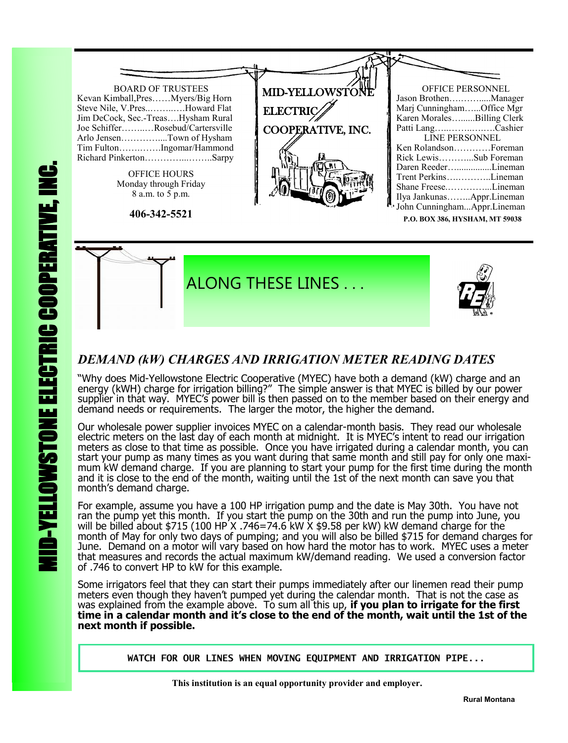



### *DEMAND (kW) CHARGES AND IRRIGATION METER READING DATES*

"Why does Mid-Yellowstone Electric Cooperative (MYEC) have both a demand (kW) charge and an energy (kWH) charge for irrigation billing?" The simple answer is that MYEC is billed by our power supplier in that way. MYEC's power bill is then passed on to the member based on their energy and demand needs or requirements. The larger the motor, the higher the demand.

Our wholesale power supplier invoices MYEC on a calendar-month basis. They read our wholesale electric meters on the last day of each month at midnight. It is MYEC's intent to read our irrigation meters as close to that time as possible. Once you have irrigated during a calendar month, you can start your pump as many times as you want during that same month and still pay for only one maximum kW demand charge. If you are planning to start your pump for the first time during the month and it is close to the end of the month, waiting until the 1st of the next month can save you that month's demand charge.

For example, assume you have a 100 HP irrigation pump and the date is May 30th. You have not ran the pump yet this month. If you start the pump on the 30th and run the pump into June, you will be billed about \$715 (100 HP X .746=74.6 kW X \$9.58 per kW) kW demand charge for the month of May for only two days of pumping; and you will also be billed \$715 for demand charges for June. Demand on a motor will vary based on how hard the motor has to work. MYEC uses a meter that measures and records the actual maximum kW/demand reading. We used a conversion factor of .746 to convert HP to kW for this example.

Some irrigators feel that they can start their pumps immediately after our linemen read their pump meters even though they haven't pumped yet during the calendar month. That is not the case as was explained from the example above. To sum all this up, **if you plan to irrigate for the first time in a calendar month and it's close to the end of the month, wait until the 1st of the next month if possible.** 

**WATCH FOR OUR LINES WHEN MOVING EQUIPMENT AND IRRIGATION PIPE...**

 **This institution is an equal opportunity provider and employer.**